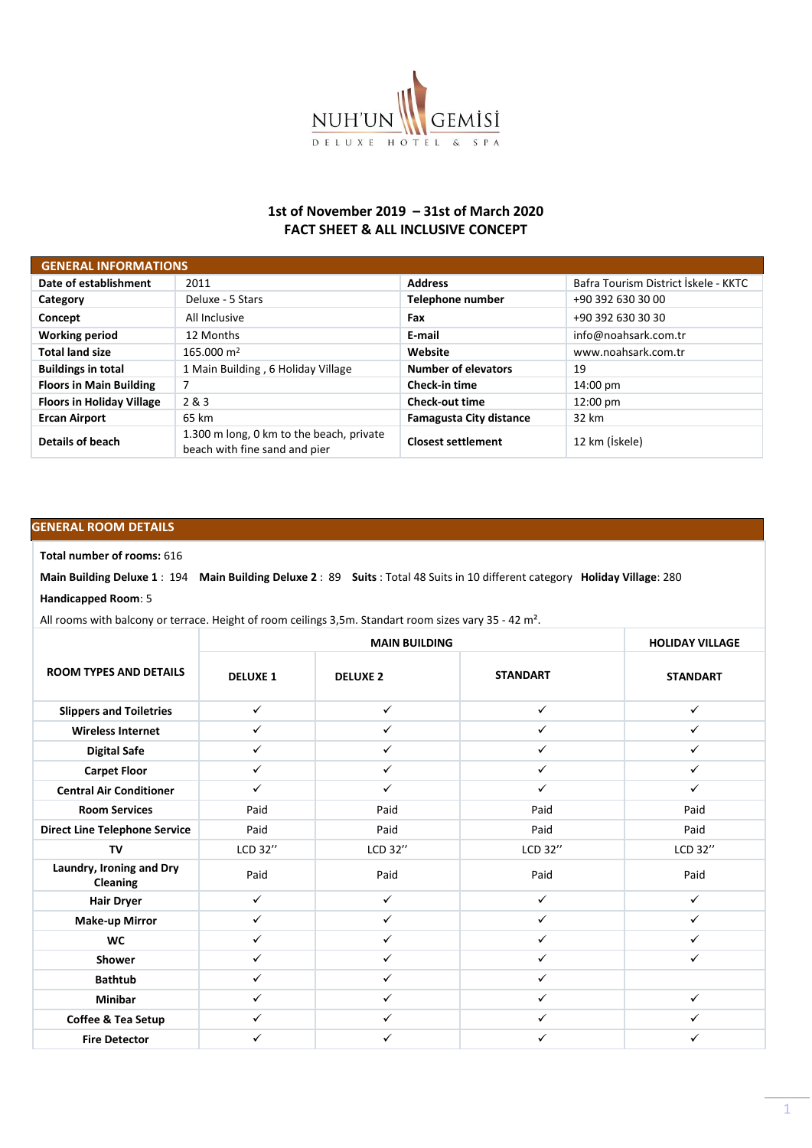

## **1st of November 2019 – 31st of March 2020 FACT SHEET & ALL INCLUSIVE CONCEPT**

| <b>GENERAL INFORMATIONS</b>      |                                                                           |                                |                                      |  |  |  |  |
|----------------------------------|---------------------------------------------------------------------------|--------------------------------|--------------------------------------|--|--|--|--|
| Date of establishment            | 2011                                                                      | <b>Address</b>                 | Bafra Tourism District İskele - KKTC |  |  |  |  |
| Category                         | Deluxe - 5 Stars                                                          | Telephone number               | +90 392 630 30 00                    |  |  |  |  |
| Concept                          | All Inclusive                                                             | Fax                            | +90 392 630 30 30                    |  |  |  |  |
| <b>Working period</b>            | 12 Months                                                                 | E-mail                         | info@noahsark.com.tr                 |  |  |  |  |
| <b>Total land size</b>           | $165.000 \text{ m}^2$                                                     | Website                        | www.noahsark.com.tr                  |  |  |  |  |
| <b>Buildings in total</b>        | 1 Main Building, 6 Holiday Village                                        | <b>Number of elevators</b>     | 19                                   |  |  |  |  |
| <b>Floors in Main Building</b>   | 7                                                                         | <b>Check-in time</b>           | 14:00 pm                             |  |  |  |  |
| <b>Floors in Holiday Village</b> | 2 & 3                                                                     | <b>Check-out time</b>          | 12:00 pm                             |  |  |  |  |
| <b>Ercan Airport</b>             | 65 km                                                                     | <b>Famagusta City distance</b> | 32 km                                |  |  |  |  |
| Details of beach                 | 1.300 m long, 0 km to the beach, private<br>beach with fine sand and pier | <b>Closest settlement</b>      | 12 km (İskele)                       |  |  |  |  |

## **GENERAL ROOM DETAILS**

## **Total number of rooms:** 616

**Main Building Deluxe 1** : 194 **Main Building Deluxe 2** : 89 **Suits** : Total 48 Suits in 10 different category **Holiday Village**: 280 **Handicapped Room**: 5

All rooms with balcony or terrace. Height of room ceilings 3,5m. Standart room sizes vary 35 - 42 m².

|                                             |                 | <b>HOLIDAY VILLAGE</b> |                 |                 |
|---------------------------------------------|-----------------|------------------------|-----------------|-----------------|
| <b>ROOM TYPES AND DETAILS</b>               | <b>DELUXE 1</b> | <b>DELUXE 2</b>        | <b>STANDART</b> | <b>STANDART</b> |
| <b>Slippers and Toiletries</b>              | $\checkmark$    | $\checkmark$           | $\checkmark$    | $\checkmark$    |
| <b>Wireless Internet</b>                    | $\checkmark$    | $\checkmark$           | $\checkmark$    | $\checkmark$    |
| <b>Digital Safe</b>                         | ✓               | $\checkmark$           | $\checkmark$    | $\checkmark$    |
| <b>Carpet Floor</b>                         | $\checkmark$    | $\checkmark$           | $\checkmark$    | $\checkmark$    |
| <b>Central Air Conditioner</b>              | ✓               | $\checkmark$           | $\checkmark$    | $\checkmark$    |
| <b>Room Services</b>                        | Paid            | Paid                   | Paid            | Paid            |
| <b>Direct Line Telephone Service</b>        | Paid            | Paid                   | Paid            | Paid            |
| TV                                          | LCD 32"         | LCD 32"                | LCD 32"         | LCD 32"         |
| Laundry, Ironing and Dry<br><b>Cleaning</b> | Paid            | Paid                   | Paid            | Paid            |
| <b>Hair Dryer</b>                           | $\checkmark$    | $\checkmark$           | $\checkmark$    | $\checkmark$    |
| <b>Make-up Mirror</b>                       | $\checkmark$    | $\checkmark$           | $\checkmark$    | $\checkmark$    |
| <b>WC</b>                                   | ✓               | $\checkmark$           | $\checkmark$    | ✓               |
| <b>Shower</b>                               | $\checkmark$    | $\checkmark$           | $\checkmark$    | $\checkmark$    |
| <b>Bathtub</b>                              | $\checkmark$    | $\checkmark$           | $\checkmark$    |                 |
| <b>Minibar</b>                              | $\checkmark$    | $\checkmark$           | $\checkmark$    | $\checkmark$    |
| Coffee & Tea Setup                          | ✓               | $\checkmark$           | $\checkmark$    | ✓               |
| <b>Fire Detector</b>                        | ✓               | ✓                      | ✓               | ✓               |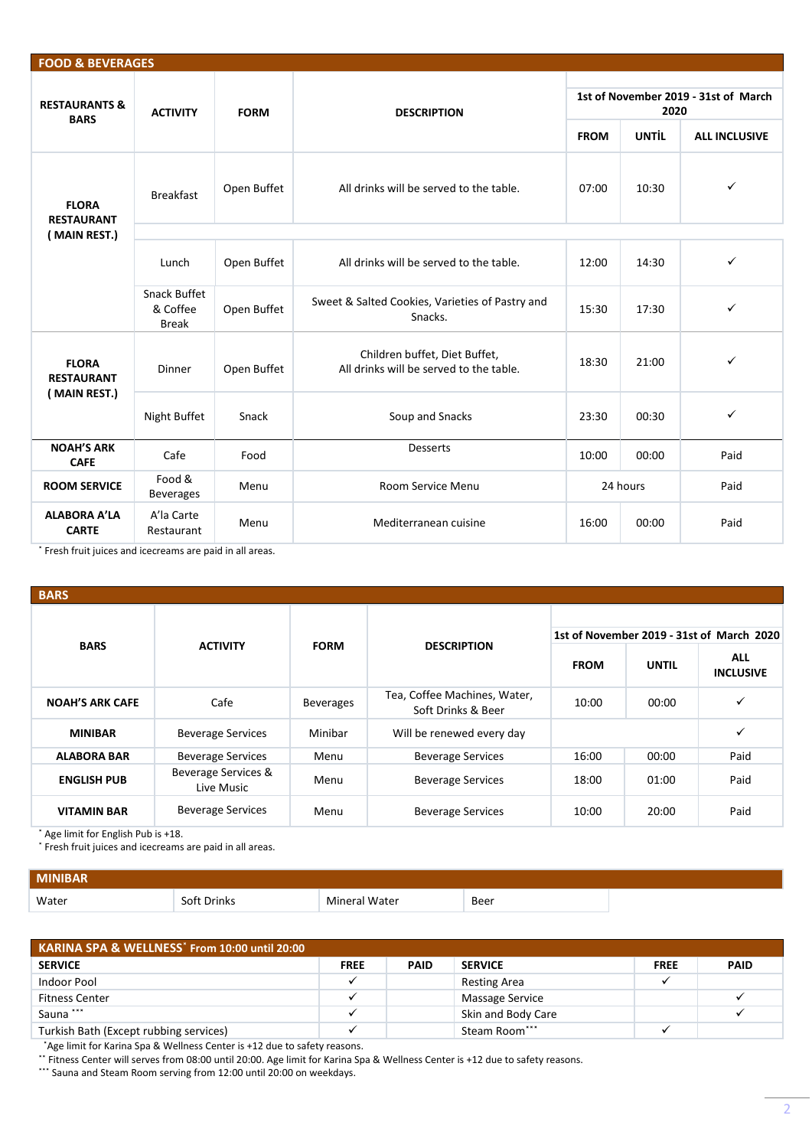| <b>FOOD &amp; BEVERAGES</b>             |                                                 |                                         |                                                                          |                                              |              |                      |  |
|-----------------------------------------|-------------------------------------------------|-----------------------------------------|--------------------------------------------------------------------------|----------------------------------------------|--------------|----------------------|--|
| <b>RESTAURANTS &amp;</b><br><b>BARS</b> | <b>ACTIVITY</b>                                 | <b>FORM</b>                             | <b>DESCRIPTION</b>                                                       | 1st of November 2019 - 31st of March<br>2020 |              |                      |  |
|                                         |                                                 |                                         |                                                                          | <b>FROM</b>                                  | <b>UNTIL</b> | <b>ALL INCLUSIVE</b> |  |
| <b>FLORA</b><br><b>RESTAURANT</b>       | <b>Breakfast</b>                                | Open Buffet                             | All drinks will be served to the table.                                  | 07:00                                        | 10:30        | ✓                    |  |
| (MAIN REST.)                            |                                                 |                                         |                                                                          |                                              |              |                      |  |
|                                         | Open Buffet<br>Lunch                            | All drinks will be served to the table. | 12:00                                                                    | 14:30                                        | ✓            |                      |  |
|                                         | <b>Snack Buffet</b><br>& Coffee<br><b>Break</b> | Open Buffet                             | Sweet & Salted Cookies, Varieties of Pastry and<br>Snacks.               | 15:30                                        | 17:30        | $\checkmark$         |  |
| <b>FLORA</b><br><b>RESTAURANT</b>       | <b>Dinner</b>                                   | Open Buffet                             | Children buffet, Diet Buffet,<br>All drinks will be served to the table. | 18:30                                        | 21:00        | ✓                    |  |
|                                         | (MAIN REST.)<br>Snack<br>Night Buffet           |                                         | Soup and Snacks                                                          | 23:30                                        | 00:30        | $\checkmark$         |  |
| <b>NOAH'S ARK</b><br><b>CAFE</b>        | Cafe                                            | Food                                    | <b>Desserts</b>                                                          | 10:00                                        | 00:00        | Paid                 |  |
| <b>ROOM SERVICE</b>                     | Food &<br><b>Beverages</b>                      | Menu                                    | Room Service Menu                                                        |                                              | 24 hours     | Paid                 |  |
| <b>ALABORA A'LA</b><br><b>CARTE</b>     | A'la Carte<br>Restaurant                        | Menu                                    | Mediterranean cuisine                                                    | 16:00                                        | 00:00        | Paid                 |  |

˟ Fresh fruit juices and icecreams are paid in all areas.

| <b>BARS</b>            |                                   |                  |                                                    |             |              |                                |  |  |  |  |
|------------------------|-----------------------------------|------------------|----------------------------------------------------|-------------|--------------|--------------------------------|--|--|--|--|
|                        |                                   |                  | 1st of November 2019 - 31st of March 2020          |             |              |                                |  |  |  |  |
| <b>BARS</b>            | <b>ACTIVITY</b>                   | <b>FORM</b>      | <b>DESCRIPTION</b>                                 | <b>FROM</b> | <b>UNTIL</b> | <b>ALL</b><br><b>INCLUSIVE</b> |  |  |  |  |
| <b>NOAH'S ARK CAFE</b> | Cafe                              | <b>Beverages</b> | Tea, Coffee Machines, Water,<br>Soft Drinks & Beer | 10:00       | 00:00        | $\checkmark$                   |  |  |  |  |
| <b>MINIBAR</b>         | <b>Beverage Services</b>          | Minibar          | Will be renewed every day                          |             |              | ✓                              |  |  |  |  |
| <b>ALABORA BAR</b>     | <b>Beverage Services</b>          | Menu             | <b>Beverage Services</b>                           | 16:00       | 00:00        | Paid                           |  |  |  |  |
| <b>ENGLISH PUB</b>     | Beverage Services &<br>Live Music | Menu             | <b>Beverage Services</b>                           | 18:00       | 01:00        | Paid                           |  |  |  |  |
| <b>VITAMIN BAR</b>     | <b>Beverage Services</b>          | Menu             | <b>Beverage Services</b>                           | 10:00       | 20:00        | Paid                           |  |  |  |  |

Age limit for English Pub is +18.

\* Fresh fruit juices and icecreams are paid in all areas.

| <b>MINIBAR</b> |        |               |      |  |
|----------------|--------|---------------|------|--|
| Water          | Drinks | Mineral Water | Beer |  |

| KARINA SPA & WELLNESS <sup>*</sup> From 10:00 until 20:00 |             |             |                     |             |             |  |  |  |
|-----------------------------------------------------------|-------------|-------------|---------------------|-------------|-------------|--|--|--|
| <b>SERVICE</b>                                            | <b>FREE</b> | <b>PAID</b> | <b>SERVICE</b>      | <b>FREE</b> | <b>PAID</b> |  |  |  |
| Indoor Pool                                               |             |             | <b>Resting Area</b> |             |             |  |  |  |
| <b>Fitness Center</b>                                     |             |             | Massage Service     |             |             |  |  |  |
| Sauna ***                                                 |             |             | Skin and Body Care  |             |             |  |  |  |
| Turkish Bath (Except rubbing services)                    |             |             | Steam Room***       |             |             |  |  |  |

\*Age limit for Karina Spa & Wellness Center is +12 due to safety reasons.

˟˟ Fitness Center will serves from 08:00 until 20:00. Age limit for Karina Spa & Wellness Center is +12 due to safety reasons.

\*\*\* Sauna and Steam Room serving from 12:00 until 20:00 on weekdays.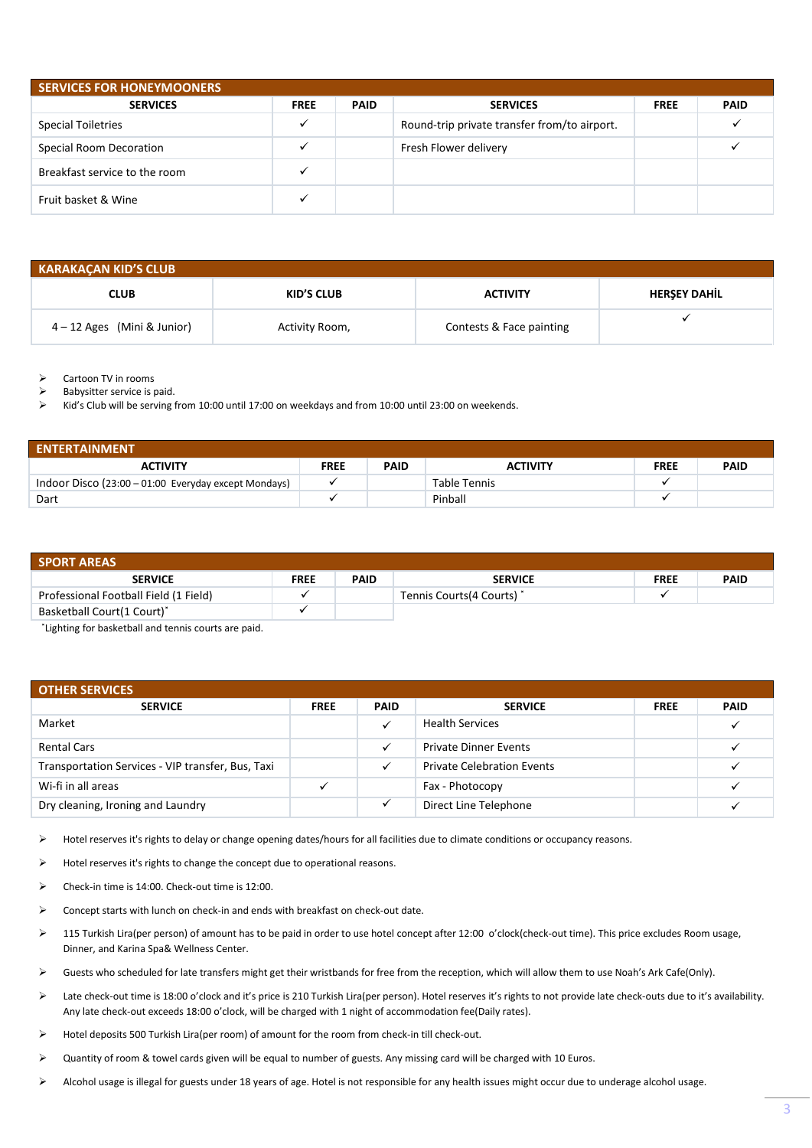| <b>SERVICES FOR HONEYMOONERS</b> |             |             |                                              |             |             |  |  |
|----------------------------------|-------------|-------------|----------------------------------------------|-------------|-------------|--|--|
| <b>SERVICES</b>                  | <b>FREE</b> | <b>PAID</b> | <b>SERVICES</b>                              | <b>FREE</b> | <b>PAID</b> |  |  |
| <b>Special Toiletries</b>        |             |             | Round-trip private transfer from/to airport. |             |             |  |  |
| Special Room Decoration          |             |             | Fresh Flower delivery                        |             |             |  |  |
| Breakfast service to the room    |             |             |                                              |             |             |  |  |
| Fruit basket & Wine              |             |             |                                              |             |             |  |  |

| <b>KARAKAÇAN KID'S CLUB</b>   |                |                          |                     |  |  |  |  |  |
|-------------------------------|----------------|--------------------------|---------------------|--|--|--|--|--|
| <b>CLUB</b>                   | KID'S CLUB     | <b>ACTIVITY</b>          | <b>HERSEY DAHIL</b> |  |  |  |  |  |
| $4 - 12$ Ages (Mini & Junior) | Activity Room, | Contests & Face painting |                     |  |  |  |  |  |

➢ Cartoon TV in rooms

Babysitter service is paid.

➢ Kid's Club will be serving from 10:00 until 17:00 on weekdays and from 10:00 until 23:00 on weekends.

| <b>ENTERTAINMENT</b>                                 |             |             |                 |             |             |  |  |
|------------------------------------------------------|-------------|-------------|-----------------|-------------|-------------|--|--|
| <b>ACTIVITY</b>                                      | <b>FREE</b> | <b>PAID</b> | <b>ACTIVITY</b> | <b>FREE</b> | <b>PAID</b> |  |  |
| Indoor Disco (23:00 - 01:00 Everyday except Mondays) |             |             | Table Tennis    |             |             |  |  |
| Dart                                                 |             |             | Pinball         |             |             |  |  |

| <b>SPORT AREAS</b>                    |             |             |                            |             |             |  |  |  |
|---------------------------------------|-------------|-------------|----------------------------|-------------|-------------|--|--|--|
| <b>SERVICE</b>                        | <b>FREE</b> | <b>PAID</b> | <b>SERVICE</b>             | <b>FREE</b> | <b>PAID</b> |  |  |  |
| Professional Football Field (1 Field) |             |             | Tennis Courts (4 Courts) * |             |             |  |  |  |
| Basketball Court(1 Court)*            |             |             |                            |             |             |  |  |  |

˟Lighting for basketball and tennis courts are paid.

| <b>OTHER SERVICES</b>                             |             |             |                                   |             |             |  |  |
|---------------------------------------------------|-------------|-------------|-----------------------------------|-------------|-------------|--|--|
| <b>SERVICE</b>                                    | <b>FREE</b> | <b>PAID</b> | <b>SERVICE</b>                    | <b>FREE</b> | <b>PAID</b> |  |  |
| Market                                            |             |             | <b>Health Services</b>            |             |             |  |  |
| <b>Rental Cars</b>                                |             |             | <b>Private Dinner Events</b>      |             |             |  |  |
| Transportation Services - VIP transfer, Bus, Taxi |             |             | <b>Private Celebration Events</b> |             |             |  |  |
| Wi-fi in all areas                                |             |             | Fax - Photocopy                   |             |             |  |  |
| Dry cleaning, Ironing and Laundry                 |             |             | Direct Line Telephone             |             |             |  |  |

➢ Hotel reserves it's rights to delay or change opening dates/hours for all facilities due to climate conditions or occupancy reasons.

➢ Hotel reserves it's rights to change the concept due to operational reasons.

- ➢ Check-in time is 14:00. Check-out time is 12:00.
- ➢ Concept starts with lunch on check-in and ends with breakfast on check-out date.
- ➢ 115 Turkish Lira(per person) of amount has to be paid in order to use hotel concept after 12:00 o'clock(check-out time). This price excludes Room usage, Dinner, and Karina Spa& Wellness Center.
- ➢ Guests who scheduled for late transfers might get their wristbands for free from the reception, which will allow them to use Noah's Ark Cafe(Only).
- ➢ Late check-out time is 18:00 o'clock and it's price is 210 Turkish Lira(per person). Hotel reserves it's rights to not provide late check-outs due to it's availability. Any late check-out exceeds 18:00 o'clock, will be charged with 1 night of accommodation fee(Daily rates).
- ➢ Hotel deposits 500 Turkish Lira(per room) of amount for the room from check-in till check-out.
- ➢ Quantity of room & towel cards given will be equal to number of guests. Any missing card will be charged with 10 Euros.
- ➢ Alcohol usage is illegal for guests under 18 years of age. Hotel is not responsible for any health issues might occur due to underage alcohol usage.